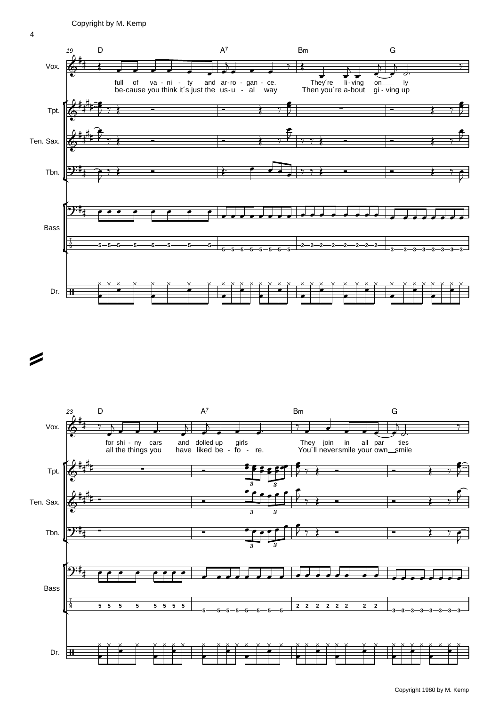

 $\rightarrow$ 

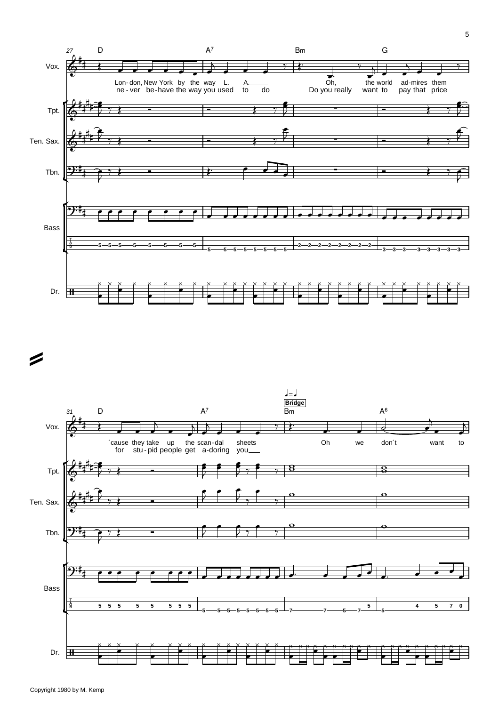

 $\rightarrow$